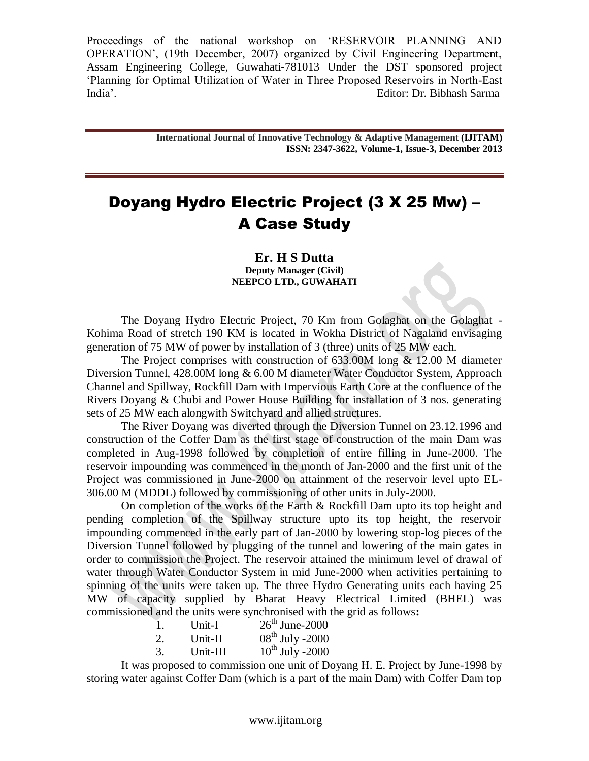> **International Journal of Innovative Technology & Adaptive Management (IJITAM) ISSN: 2347-3622, Volume-1, Issue-3, December 2013**

# Doyang Hydro Electric Project (3 X 25 Mw) – A Case Study

**Er. H S Dutta Deputy Manager (Civil) NEEPCO LTD., GUWAHATI**

The Doyang Hydro Electric Project, 70 Km from Golaghat on the Golaghat - Kohima Road of stretch 190 KM is located in Wokha District of Nagaland envisaging generation of 75 MW of power by installation of 3 (three) units of 25 MW each.

The Project comprises with construction of  $633.00M$  long  $\&$  12.00 M diameter Diversion Tunnel, 428.00M long & 6.00 M diameter Water Conductor System, Approach Channel and Spillway, Rockfill Dam with Impervious Earth Core at the confluence of the Rivers Doyang & Chubi and Power House Building for installation of 3 nos. generating sets of 25 MW each alongwith Switchyard and allied structures.

The River Doyang was diverted through the Diversion Tunnel on 23.12.1996 and construction of the Coffer Dam as the first stage of construction of the main Dam was completed in Aug-1998 followed by completion of entire filling in June-2000. The reservoir impounding was commenced in the month of Jan-2000 and the first unit of the Project was commissioned in June-2000 on attainment of the reservoir level upto EL-306.00 M (MDDL) followed by commissioning of other units in July-2000.

On completion of the works of the Earth & Rockfill Dam upto its top height and pending completion of the Spillway structure upto its top height, the reservoir impounding commenced in the early part of Jan-2000 by lowering stop-log pieces of the Diversion Tunnel followed by plugging of the tunnel and lowering of the main gates in order to commission the Project. The reservoir attained the minimum level of drawal of water through Water Conductor System in mid June-2000 when activities pertaining to spinning of the units were taken up. The three Hydro Generating units each having 25 MW of capacity supplied by Bharat Heavy Electrical Limited (BHEL) was commissioned and the units were synchronised with the grid as follows**:**

| 1. | Unit-I   | $26^{\text{th}}$ June-2000 |
|----|----------|----------------------------|
| 2. | Unit-II  | $08^{\rm th}$ July -2000   |
| 3. | Unit-III | $10^{th}$ July -2000       |

It was proposed to commission one unit of Doyang H. E. Project by June-1998 by storing water against Coffer Dam (which is a part of the main Dam) with Coffer Dam top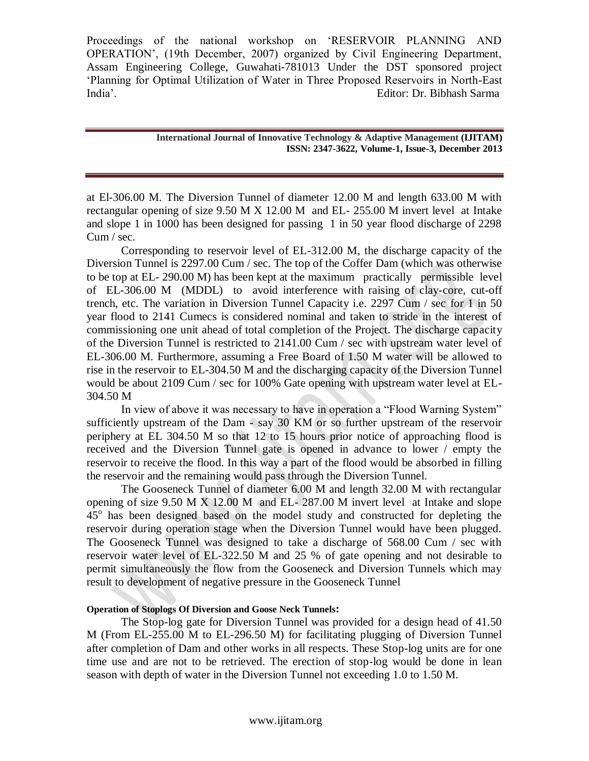> **International Journal of Innovative Technology & Adaptive Management (IJITAM) ISSN: 2347-3622, Volume-1, Issue-3, December 2013**

at El-306.00 M. The Diversion Tunnel of diameter 12.00 M and length 633.00 M with rectangular opening of size 9.50 M X 12.00 M and EL- 255.00 M invert level at Intake and slope 1 in 1000 has been designed for passing 1 in 50 year flood discharge of 2298 Cum / sec.

Corresponding to reservoir level of EL-312.00 M, the discharge capacity of the Diversion Tunnel is 2297.00 Cum / sec. The top of the Coffer Dam (which was otherwise to be top at EL- 290.00 M) has been kept at the maximum practically permissible level of EL-306.00 M (MDDL) to avoid interference with raising of clay-core, cut-off trench, etc. The variation in Diversion Tunnel Capacity i.e. 2297 Cum / sec for 1 in 50 year flood to 2141 Cumecs is considered nominal and taken to stride in the interest of commissioning one unit ahead of total completion of the Project. The discharge capacity of the Diversion Tunnel is restricted to 2141.00 Cum / sec with upstream water level of EL-306.00 M. Furthermore, assuming a Free Board of 1.50 M water will be allowed to rise in the reservoir to EL-304.50 M and the discharging capacity of the Diversion Tunnel would be about 2109 Cum / sec for 100% Gate opening with upstream water level at EL-304.50 M

In view of above it was necessary to have in operation a "Flood Warning System" sufficiently upstream of the Dam - say 30 KM or so further upstream of the reservoir periphery at EL 304.50 M so that 12 to 15 hours prior notice of approaching flood is received and the Diversion Tunnel gate is opened in advance to lower / empty the reservoir to receive the flood. In this way a part of the flood would be absorbed in filling the reservoir and the remaining would pass through the Diversion Tunnel.

The Gooseneck Tunnel of diameter 6.00 M and length 32.00 M with rectangular opening of size 9.50 M X 12.00 M and EL- 287.00 M invert level at Intake and slope  $45^\circ$  has been designed based on the model study and constructed for depleting the reservoir during operation stage when the Diversion Tunnel would have been plugged. The Gooseneck Tunnel was designed to take a discharge of 568.00 Cum / sec with reservoir water level of EL-322.50 M and 25 % of gate opening and not desirable to permit simultaneously the flow from the Gooseneck and Diversion Tunnels which may result to development of negative pressure in the Gooseneck Tunnel

# **Operation of Stoplogs Of Diversion and Goose Neck Tunnels:**

The Stop-log gate for Diversion Tunnel was provided for a design head of 41.50 M (From EL-255.00 M to EL-296.50 M) for facilitating plugging of Diversion Tunnel after completion of Dam and other works in all respects. These Stop-log units are for one time use and are not to be retrieved. The erection of stop-log would be done in lean season with depth of water in the Diversion Tunnel not exceeding 1.0 to 1.50 M.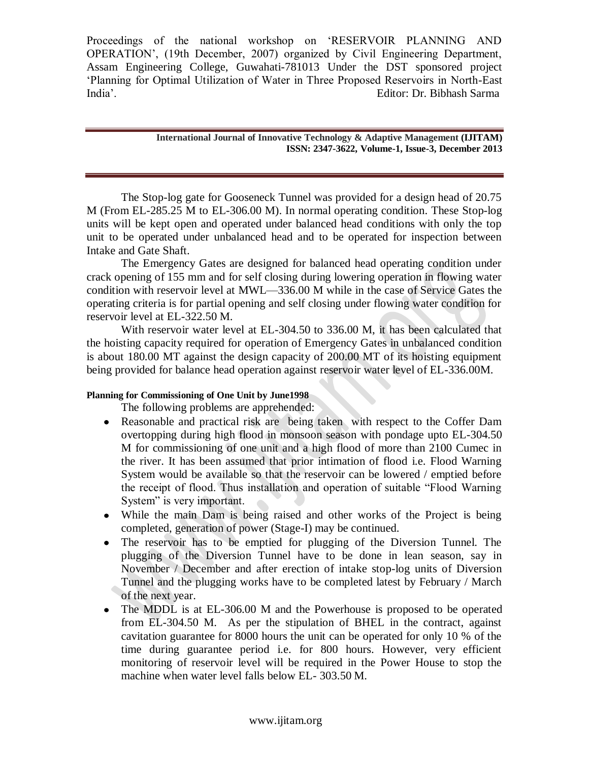> **International Journal of Innovative Technology & Adaptive Management (IJITAM) ISSN: 2347-3622, Volume-1, Issue-3, December 2013**

The Stop-log gate for Gooseneck Tunnel was provided for a design head of 20.75 M (From EL-285.25 M to EL-306.00 M). In normal operating condition. These Stop-log units will be kept open and operated under balanced head conditions with only the top unit to be operated under unbalanced head and to be operated for inspection between Intake and Gate Shaft.

The Emergency Gates are designed for balanced head operating condition under crack opening of 155 mm and for self closing during lowering operation in flowing water condition with reservoir level at MWL—336.00 M while in the case of Service Gates the operating criteria is for partial opening and self closing under flowing water condition for reservoir level at EL-322.50 M.

With reservoir water level at EL-304.50 to 336.00 M, it has been calculated that the hoisting capacity required for operation of Emergency Gates in unbalanced condition is about 180.00 MT against the design capacity of 200.00 MT of its hoisting equipment being provided for balance head operation against reservoir water level of EL-336.00M.

# **Planning for Commissioning of One Unit by June1998**

The following problems are apprehended:

- Reasonable and practical risk are being taken with respect to the Coffer Dam overtopping during high flood in monsoon season with pondage upto EL-304.50 M for commissioning of one unit and a high flood of more than 2100 Cumec in the river. It has been assumed that prior intimation of flood i.e. Flood Warning System would be available so that the reservoir can be lowered / emptied before the receipt of flood. Thus installation and operation of suitable "Flood Warning System" is very important.
- While the main Dam is being raised and other works of the Project is being completed, generation of power (Stage-I) may be continued.
- The reservoir has to be emptied for plugging of the Diversion Tunnel. The plugging of the Diversion Tunnel have to be done in lean season, say in November / December and after erection of intake stop-log units of Diversion Tunnel and the plugging works have to be completed latest by February / March of the next year.
- The MDDL is at EL-306.00 M and the Powerhouse is proposed to be operated from EL-304.50 M. As per the stipulation of BHEL in the contract, against cavitation guarantee for 8000 hours the unit can be operated for only 10 % of the time during guarantee period i.e. for 800 hours. However, very efficient monitoring of reservoir level will be required in the Power House to stop the machine when water level falls below EL- 303.50 M.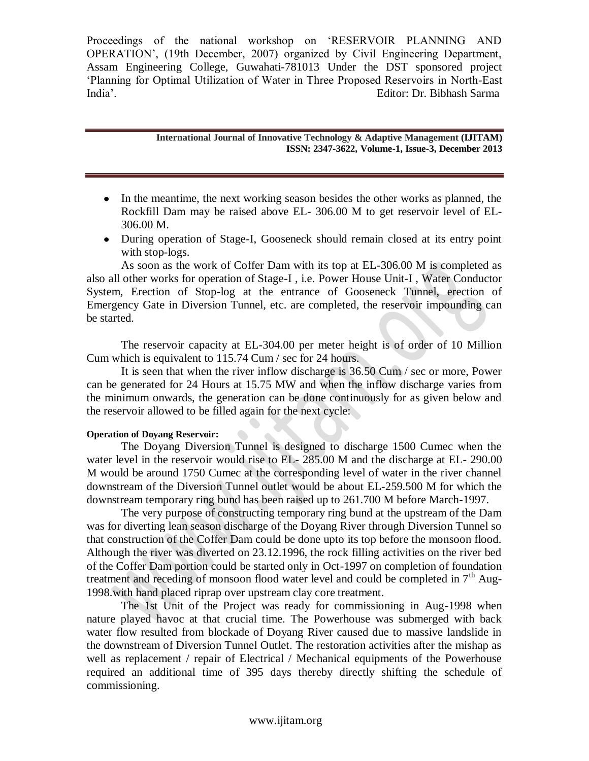> **International Journal of Innovative Technology & Adaptive Management (IJITAM) ISSN: 2347-3622, Volume-1, Issue-3, December 2013**

- In the meantime, the next working season besides the other works as planned, the Rockfill Dam may be raised above EL- 306.00 M to get reservoir level of EL-306.00 M.
- During operation of Stage-I, Gooseneck should remain closed at its entry point with stop-logs.

As soon as the work of Coffer Dam with its top at EL-306.00 M is completed as also all other works for operation of Stage-I , i.e. Power House Unit-I , Water Conductor System, Erection of Stop-log at the entrance of Gooseneck Tunnel, erection of Emergency Gate in Diversion Tunnel, etc. are completed, the reservoir impounding can be started.

The reservoir capacity at EL-304.00 per meter height is of order of 10 Million Cum which is equivalent to 115.74 Cum / sec for 24 hours.

It is seen that when the river inflow discharge is 36.50 Cum / sec or more, Power can be generated for 24 Hours at 15.75 MW and when the inflow discharge varies from the minimum onwards, the generation can be done continuously for as given below and the reservoir allowed to be filled again for the next cycle:

# **Operation of Doyang Reservoir:**

The Doyang Diversion Tunnel is designed to discharge 1500 Cumec when the water level in the reservoir would rise to EL- 285.00 M and the discharge at EL- 290.00 M would be around 1750 Cumec at the corresponding level of water in the river channel downstream of the Diversion Tunnel outlet would be about EL-259.500 M for which the downstream temporary ring bund has been raised up to 261.700 M before March-1997.

The very purpose of constructing temporary ring bund at the upstream of the Dam was for diverting lean season discharge of the Doyang River through Diversion Tunnel so that construction of the Coffer Dam could be done upto its top before the monsoon flood. Although the river was diverted on 23.12.1996, the rock filling activities on the river bed of the Coffer Dam portion could be started only in Oct-1997 on completion of foundation treatment and receding of monsoon flood water level and could be completed in  $7<sup>th</sup>$  Aug-1998.with hand placed riprap over upstream clay core treatment.

The 1st Unit of the Project was ready for commissioning in Aug-1998 when nature played havoc at that crucial time. The Powerhouse was submerged with back water flow resulted from blockade of Doyang River caused due to massive landslide in the downstream of Diversion Tunnel Outlet. The restoration activities after the mishap as well as replacement / repair of Electrical / Mechanical equipments of the Powerhouse required an additional time of 395 days thereby directly shifting the schedule of commissioning.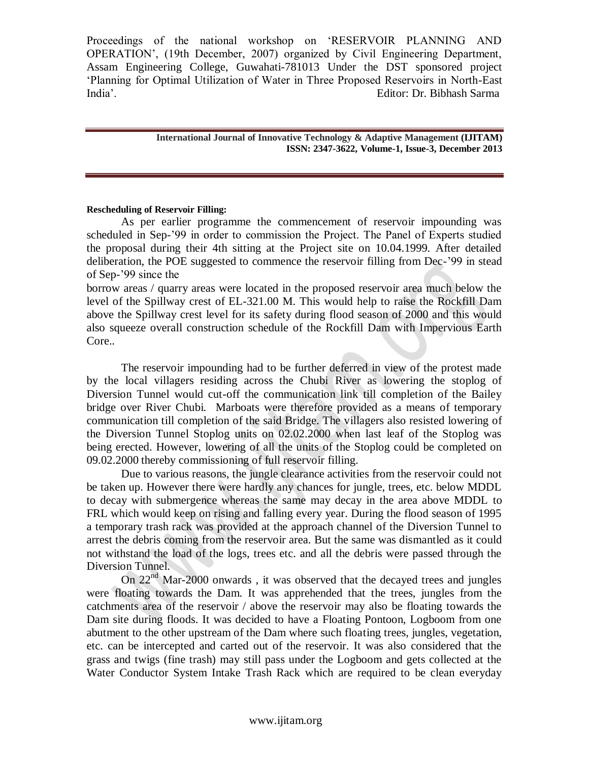### **International Journal of Innovative Technology & Adaptive Management (IJITAM) ISSN: 2347-3622, Volume-1, Issue-3, December 2013**

### **Rescheduling of Reservoir Filling:**

As per earlier programme the commencement of reservoir impounding was scheduled in Sep-"99 in order to commission the Project. The Panel of Experts studied the proposal during their 4th sitting at the Project site on 10.04.1999. After detailed deliberation, the POE suggested to commence the reservoir filling from Dec-"99 in stead of Sep-"99 since the

borrow areas / quarry areas were located in the proposed reservoir area much below the level of the Spillway crest of EL-321.00 M. This would help to raise the Rockfill Dam above the Spillway crest level for its safety during flood season of 2000 and this would also squeeze overall construction schedule of the Rockfill Dam with Impervious Earth Core..

The reservoir impounding had to be further deferred in view of the protest made by the local villagers residing across the Chubi River as lowering the stoplog of Diversion Tunnel would cut-off the communication link till completion of the Bailey bridge over River Chubi. Marboats were therefore provided as a means of temporary communication till completion of the said Bridge. The villagers also resisted lowering of the Diversion Tunnel Stoplog units on 02.02.2000 when last leaf of the Stoplog was being erected. However, lowering of all the units of the Stoplog could be completed on 09.02.2000 thereby commissioning of full reservoir filling.

Due to various reasons, the jungle clearance activities from the reservoir could not be taken up. However there were hardly any chances for jungle, trees, etc. below MDDL to decay with submergence whereas the same may decay in the area above MDDL to FRL which would keep on rising and falling every year. During the flood season of 1995 a temporary trash rack was provided at the approach channel of the Diversion Tunnel to arrest the debris coming from the reservoir area. But the same was dismantled as it could not withstand the load of the logs, trees etc. and all the debris were passed through the Diversion Tunnel.

On 22<sup>nd</sup> Mar-2000 onwards, it was observed that the decayed trees and jungles were floating towards the Dam. It was apprehended that the trees, jungles from the catchments area of the reservoir / above the reservoir may also be floating towards the Dam site during floods. It was decided to have a Floating Pontoon, Logboom from one abutment to the other upstream of the Dam where such floating trees, jungles, vegetation, etc. can be intercepted and carted out of the reservoir. It was also considered that the grass and twigs (fine trash) may still pass under the Logboom and gets collected at the Water Conductor System Intake Trash Rack which are required to be clean everyday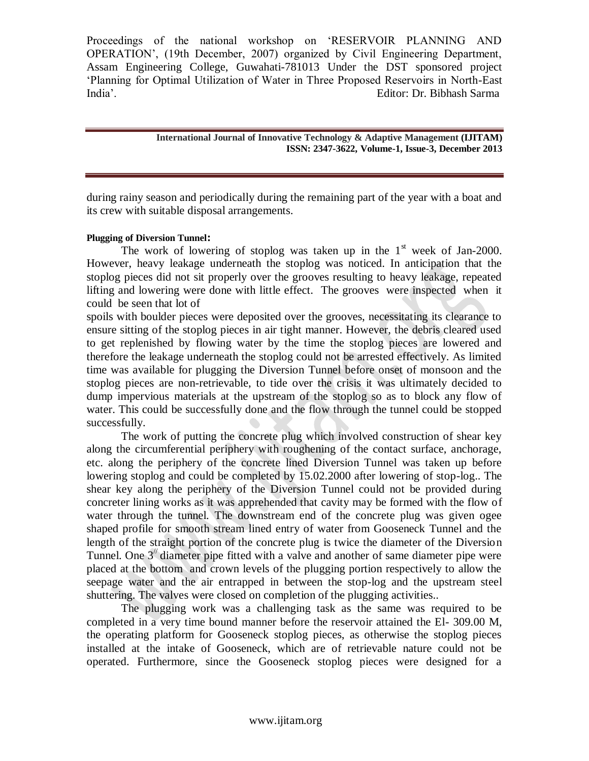> **International Journal of Innovative Technology & Adaptive Management (IJITAM) ISSN: 2347-3622, Volume-1, Issue-3, December 2013**

during rainy season and periodically during the remaining part of the year with a boat and its crew with suitable disposal arrangements.

# **Plugging of Diversion Tunnel:**

The work of lowering of stoplog was taken up in the  $1<sup>st</sup>$  week of Jan-2000. However, heavy leakage underneath the stoplog was noticed. In anticipation that the stoplog pieces did not sit properly over the grooves resulting to heavy leakage, repeated lifting and lowering were done with little effect. The grooves were inspected when it could be seen that lot of

spoils with boulder pieces were deposited over the grooves, necessitating its clearance to ensure sitting of the stoplog pieces in air tight manner. However, the debris cleared used to get replenished by flowing water by the time the stoplog pieces are lowered and therefore the leakage underneath the stoplog could not be arrested effectively. As limited time was available for plugging the Diversion Tunnel before onset of monsoon and the stoplog pieces are non-retrievable, to tide over the crisis it was ultimately decided to dump impervious materials at the upstream of the stoplog so as to block any flow of water. This could be successfully done and the flow through the tunnel could be stopped successfully.

The work of putting the concrete plug which involved construction of shear key along the circumferential periphery with roughening of the contact surface, anchorage, etc. along the periphery of the concrete lined Diversion Tunnel was taken up before lowering stoplog and could be completed by 15.02.2000 after lowering of stop-log.. The shear key along the periphery of the Diversion Tunnel could not be provided during concreter lining works as it was apprehended that cavity may be formed with the flow of water through the tunnel. The downstream end of the concrete plug was given ogee shaped profile for smooth stream lined entry of water from Gooseneck Tunnel and the length of the straight portion of the concrete plug is twice the diameter of the Diversion Tunnel. One  $3$ <sup> $\prime\prime$ </sup> diameter pipe fitted with a valve and another of same diameter pipe were placed at the bottom and crown levels of the plugging portion respectively to allow the seepage water and the air entrapped in between the stop-log and the upstream steel shuttering. The valves were closed on completion of the plugging activities..

The plugging work was a challenging task as the same was required to be completed in a very time bound manner before the reservoir attained the El- 309.00 M, the operating platform for Gooseneck stoplog pieces, as otherwise the stoplog pieces installed at the intake of Gooseneck, which are of retrievable nature could not be operated. Furthermore, since the Gooseneck stoplog pieces were designed for a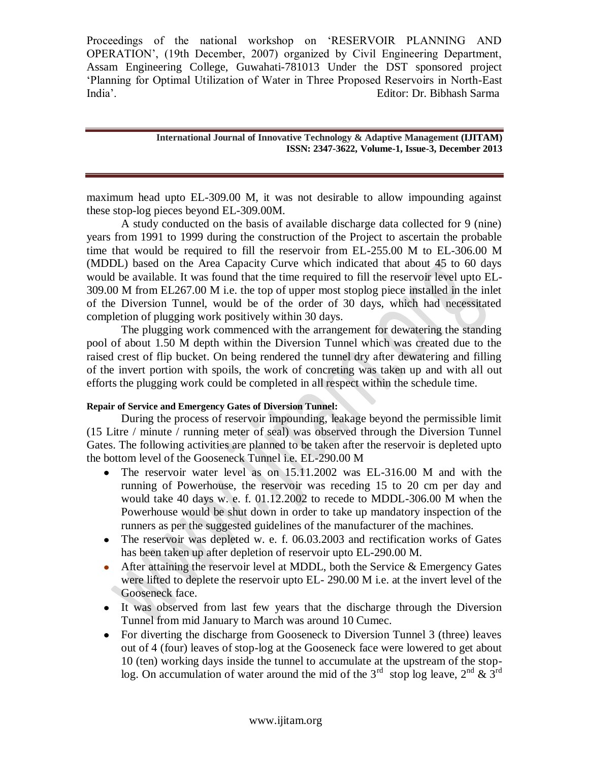#### **International Journal of Innovative Technology & Adaptive Management (IJITAM) ISSN: 2347-3622, Volume-1, Issue-3, December 2013**

maximum head upto EL-309.00 M, it was not desirable to allow impounding against these stop-log pieces beyond EL-309.00M.

A study conducted on the basis of available discharge data collected for 9 (nine) years from 1991 to 1999 during the construction of the Project to ascertain the probable time that would be required to fill the reservoir from EL-255.00 M to EL-306.00 M (MDDL) based on the Area Capacity Curve which indicated that about 45 to 60 days would be available. It was found that the time required to fill the reservoir level upto EL-309.00 M from EL267.00 M i.e. the top of upper most stoplog piece installed in the inlet of the Diversion Tunnel, would be of the order of 30 days, which had necessitated completion of plugging work positively within 30 days.

The plugging work commenced with the arrangement for dewatering the standing pool of about 1.50 M depth within the Diversion Tunnel which was created due to the raised crest of flip bucket. On being rendered the tunnel dry after dewatering and filling of the invert portion with spoils, the work of concreting was taken up and with all out efforts the plugging work could be completed in all respect within the schedule time.

# **Repair of Service and Emergency Gates of Diversion Tunnel:**

During the process of reservoir impounding, leakage beyond the permissible limit (15 Litre / minute / running meter of seal) was observed through the Diversion Tunnel Gates. The following activities are planned to be taken after the reservoir is depleted upto the bottom level of the Gooseneck Tunnel i.e. EL-290.00 M

- The reservoir water level as on 15.11.2002 was EL-316.00 M and with the running of Powerhouse, the reservoir was receding 15 to 20 cm per day and would take 40 days w. e. f. 01.12.2002 to recede to MDDL-306.00 M when the Powerhouse would be shut down in order to take up mandatory inspection of the runners as per the suggested guidelines of the manufacturer of the machines.
- The reservoir was depleted w. e. f. 06.03.2003 and rectification works of Gates has been taken up after depletion of reservoir upto EL-290.00 M.
- After attaining the reservoir level at MDDL, both the Service & Emergency Gates  $\bullet$ were lifted to deplete the reservoir upto EL- 290.00 M i.e. at the invert level of the Gooseneck face.
- It was observed from last few years that the discharge through the Diversion Tunnel from mid January to March was around 10 Cumec.
- For diverting the discharge from Gooseneck to Diversion Tunnel 3 (three) leaves out of 4 (four) leaves of stop-log at the Gooseneck face were lowered to get about 10 (ten) working days inside the tunnel to accumulate at the upstream of the stoplog. On accumulation of water around the mid of the 3<sup>rd</sup> stop log leave,  $2^{nd} \& 3^{rd}$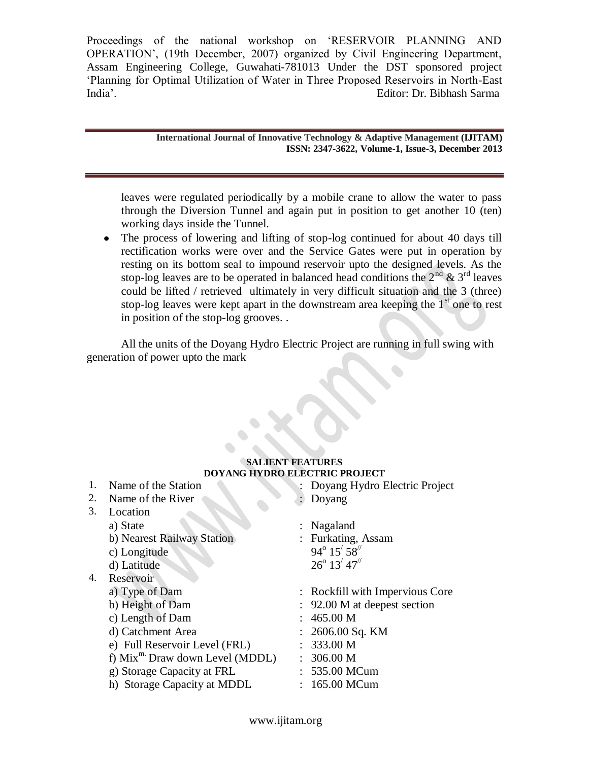> **International Journal of Innovative Technology & Adaptive Management (IJITAM) ISSN: 2347-3622, Volume-1, Issue-3, December 2013**

leaves were regulated periodically by a mobile crane to allow the water to pass through the Diversion Tunnel and again put in position to get another 10 (ten) working days inside the Tunnel.

The process of lowering and lifting of stop-log continued for about 40 days till  $\bullet$ rectification works were over and the Service Gates were put in operation by resting on its bottom seal to impound reservoir upto the designed levels. As the stop-log leaves are to be operated in balanced head conditions the  $2^{nd}$  &  $3^{rd}$  leaves could be lifted / retrieved ultimately in very difficult situation and the 3 (three) stop-log leaves were kept apart in the downstream area keeping the  $1<sup>st</sup>$  one to rest in position of the stop-log grooves. .

All the units of the Doyang Hydro Electric Project are running in full swing with generation of power upto the mark

#### **SALIENT FEATURES DOYANG HYDRO ELECTRIC PROJECT** 1. Name of the Station : Doyang Hydro Electric Project

| ., | <b>INATHE OF THE STATION</b>     | DOYALLY HYGIO EJECTIIC FIOJECT  |
|----|----------------------------------|---------------------------------|
| 2. | Name of the River                | Doyang                          |
| 3. | Location                         |                                 |
|    | a) State                         | $:$ Nagaland                    |
|    | b) Nearest Railway Station       | : Furkating, Assam              |
|    | c) Longitude                     | $94^{\circ} 15' 58''$           |
|    | d) Latitude                      | $26^{\circ}$ 13' 47"            |
| 4. | Reservoir                        |                                 |
|    | a) Type of Dam                   | : Rockfill with Impervious Core |
|    | b) Height of Dam                 | : 92.00 M at deepest section    |
|    | c) Length of Dam                 | : 465.00 M                      |
|    | d) Catchment Area                | $: 2606.00$ Sq. KM              |
|    | e) Full Reservoir Level (FRL)    | : 333.00 M                      |
|    | f) $Mixm·Draw down Level (MDDL)$ | 306.00 M                        |
|    | g) Storage Capacity at FRL       | : 535.00 MCum                   |
|    | h) Storage Capacity at MDDL      | 165.00 MCum                     |
|    |                                  |                                 |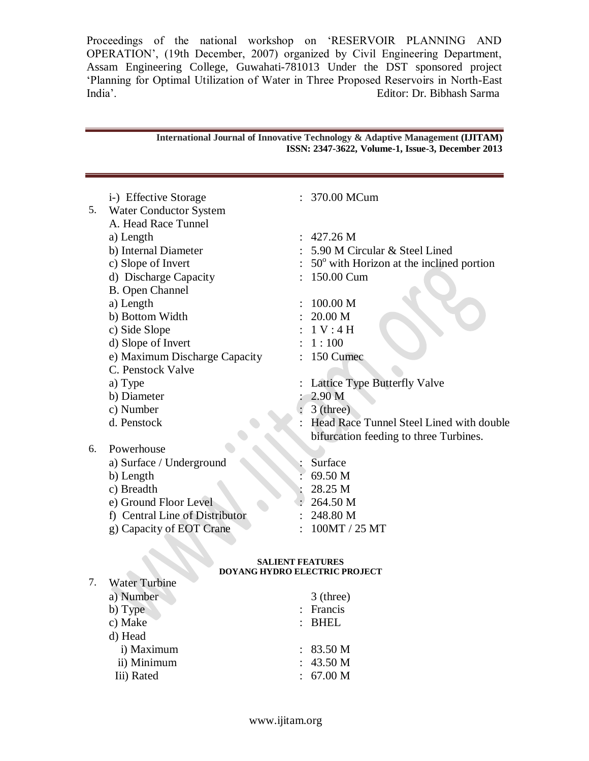|    | i-) Effective Storage                                           |  | 370.00 MCum                                                                        |  |  |  |
|----|-----------------------------------------------------------------|--|------------------------------------------------------------------------------------|--|--|--|
| 5. | <b>Water Conductor System</b>                                   |  |                                                                                    |  |  |  |
|    | A. Head Race Tunnel                                             |  |                                                                                    |  |  |  |
|    | a) Length                                                       |  | 427.26 M                                                                           |  |  |  |
|    | b) Internal Diameter                                            |  | 5.90 M Circular & Steel Lined                                                      |  |  |  |
|    | c) Slope of Invert                                              |  | $50^{\circ}$ with Horizon at the inclined portion                                  |  |  |  |
|    | d) Discharge Capacity                                           |  | 150.00 Cum                                                                         |  |  |  |
|    | <b>B.</b> Open Channel                                          |  |                                                                                    |  |  |  |
|    | a) Length                                                       |  | 100.00 M                                                                           |  |  |  |
|    | b) Bottom Width                                                 |  | 20.00 M                                                                            |  |  |  |
|    | c) Side Slope                                                   |  | 1 V: 4 H                                                                           |  |  |  |
|    | d) Slope of Invert                                              |  | 1:100                                                                              |  |  |  |
|    | e) Maximum Discharge Capacity                                   |  | 150 Cumec                                                                          |  |  |  |
|    | C. Penstock Valve                                               |  |                                                                                    |  |  |  |
|    | a) Type                                                         |  | Lattice Type Butterfly Valve                                                       |  |  |  |
|    | b) Diameter                                                     |  | 2.90 <sub>M</sub>                                                                  |  |  |  |
|    | c) Number                                                       |  | $3$ (three)                                                                        |  |  |  |
|    | d. Penstock                                                     |  | Head Race Tunnel Steel Lined with double<br>bifurcation feeding to three Turbines. |  |  |  |
| 6. | Powerhouse                                                      |  |                                                                                    |  |  |  |
|    | a) Surface / Underground                                        |  | Surface                                                                            |  |  |  |
|    | b) Length                                                       |  | 69.50 M                                                                            |  |  |  |
|    | c) Breadth                                                      |  | 28.25 M                                                                            |  |  |  |
|    | e) Ground Floor Level                                           |  | 264.50 M                                                                           |  |  |  |
|    | f) Central Line of Distributor                                  |  | 248.80 M                                                                           |  |  |  |
|    | g) Capacity of EOT Crane                                        |  | 100MT / 25 MT                                                                      |  |  |  |
|    | <b>SALIENT FEATURES</b><br><b>DOYANG HYDRO ELECTRIC PROJECT</b> |  |                                                                                    |  |  |  |
| 7. | <b>Water Turbine</b>                                            |  |                                                                                    |  |  |  |

**International Journal of Innovative Technology & Adaptive Management (IJITAM) ISSN: 2347-3622, Volume-1, Issue-3, December 2013**

| WALCE FULLUILLE |             |
|-----------------|-------------|
| a) Number       | $3$ (three) |
| b) Type         | : Francis   |
| c) Make         | : BHEL      |
| d) Head         |             |
| i) Maximum      | : 83.50 M   |
| ii) Minimum     | : 43.50 M   |
| Iii) Rated      | : 67.00 M   |
|                 |             |